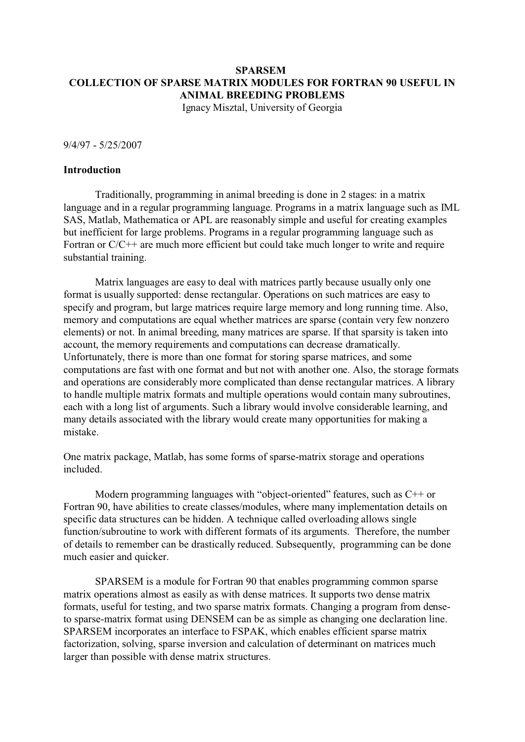# **SPARSEM COLLECTION OF SPARSE MATRIX MODULES FOR FORTRAN 90 USEFUL IN ANIMAL BREEDING PROBLEMS**

Ignacy Misztal, University of Georgia

9/4/97 - 5/25/2007

## **Introduction**

Traditionally, programming in animal breeding is done in 2 stages: in a matrix language and in a regular programming language. Programs in a matrix language such as IML SAS, Matlab, Mathematica or APL are reasonably simple and useful for creating examples but inefficient for large problems. Programs in a regular programming language such as Fortran or C/C++ are much more efficient but could take much longer to write and require substantial training.

Matrix languages are easy to deal with matrices partly because usually only one format is usually supported: dense rectangular. Operations on such matrices are easy to specify and program, but large matrices require large memory and long running time. Also, memory and computations are equal whether matrices are sparse (contain very few nonzero elements) or not. In animal breeding, many matrices are sparse. If that sparsity is taken into account, the memory requirements and computations can decrease dramatically. Unfortunately, there is more than one format for storing sparse matrices, and some computations are fast with one format and but not with another one. Also, the storage formats and operations are considerably more complicated than dense rectangular matrices. A library to handle multiple matrix formats and multiple operations would contain many subroutines, each with a long list of arguments. Such a library would involve considerable learning, and many details associated with the library would create many opportunities for making a mistake.

One matrix package, Matlab, has some forms of sparse-matrix storage and operations included.

Modern programming languages with "object-oriented" features, such as C++ or Fortran 90, have abilities to create classes/modules, where many implementation details on specific data structures can be hidden. A technique called overloading allows single function/subroutine to work with different formats of its arguments. Therefore, the number of details to remember can be drastically reduced. Subsequently, programming can be done much easier and quicker.

SPARSEM is a module for Fortran 90 that enables programming common sparse matrix operations almost as easily as with dense matrices. It supports two dense matrix formats, useful for testing, and two sparse matrix formats. Changing a program from denseto sparse-matrix format using DENSEM can be as simple as changing one declaration line. SPARSEM incorporates an interface to FSPAK, which enables efficient sparse matrix factorization, solving, sparse inversion and calculation of determinant on matrices much larger than possible with dense matrix structures.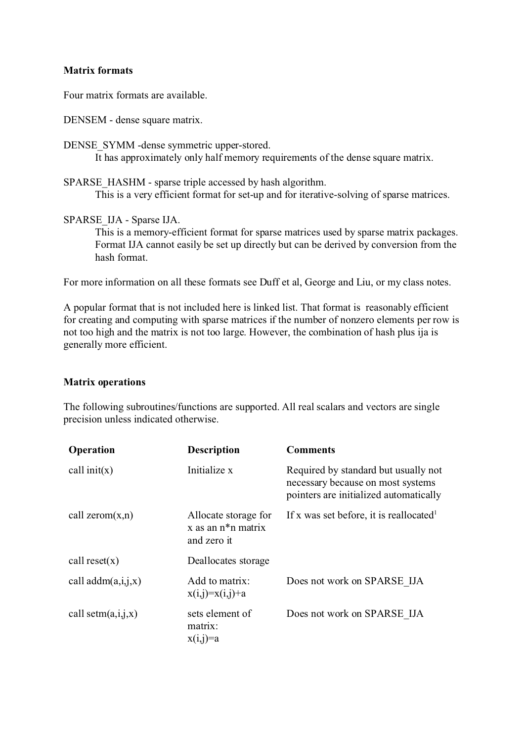## **Matrix formats**

Four matrix formats are available.

DENSEM - dense square matrix.

DENSE\_SYMM -dense symmetric upper-stored.

It has approximately only half memory requirements of the dense square matrix.

SPARSE\_HASHM - sparse triple accessed by hash algorithm. This is a very efficient format for set-up and for iterative-solving of sparse matrices.

SPARSE\_IJA - Sparse IJA.

This is a memory-efficient format for sparse matrices used by sparse matrix packages. Format IJA cannot easily be set up directly but can be derived by conversion from the hash format.

For more information on all these formats see Duff et al, George and Liu, or my class notes.

A popular format that is not included here is linked list. That format is reasonably efficient for creating and computing with sparse matrices if the number of nonzero elements per row is not too high and the matrix is not too large. However, the combination of hash plus ija is generally more efficient.

## **Matrix operations**

The following subroutines/functions are supported. All real scalars and vectors are single precision unless indicated otherwise.

| Operation             | <b>Description</b>                                             | <b>Comments</b>                                                                                                     |
|-----------------------|----------------------------------------------------------------|---------------------------------------------------------------------------------------------------------------------|
| call $init(x)$        | Initialize x                                                   | Required by standard but usually not<br>necessary because on most systems<br>pointers are initialized automatically |
| call zerom $(x,n)$    | Allocate storage for<br>$x$ as an $n^*n$ matrix<br>and zero it | If x was set before, it is reallocated                                                                              |
| call $reset(x)$       | Deallocates storage                                            |                                                                                                                     |
| call $addm(a,i,j,x)$  | Add to matrix:<br>$x(i,j)=x(i,j)+a$                            | Does not work on SPARSE IJA                                                                                         |
| call setm $(a,i,j,x)$ | sets element of<br>matrix:<br>$x(i,j)=a$                       | Does not work on SPARSE IJA                                                                                         |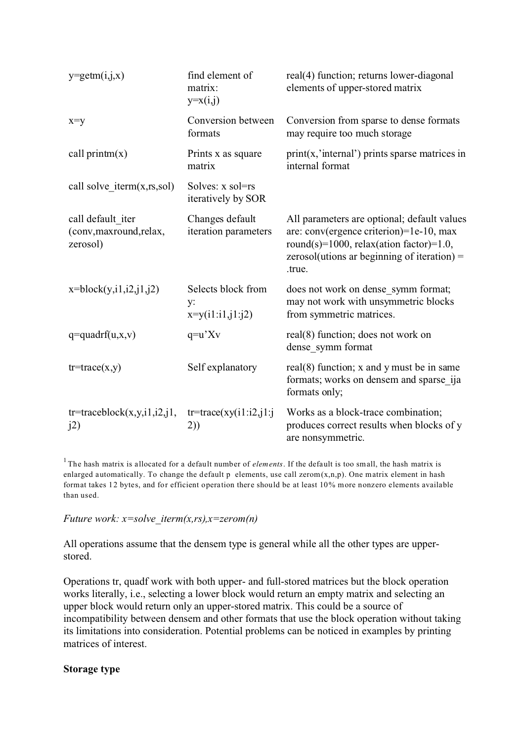| $y = getm(i,j,x)$                                        | find element of<br>matrix:<br>$y=x(i,j)$       | real(4) function; returns lower-diagonal<br>elements of upper-stored matrix                                                                                                                   |  |
|----------------------------------------------------------|------------------------------------------------|-----------------------------------------------------------------------------------------------------------------------------------------------------------------------------------------------|--|
| $x=y$                                                    | Conversion between<br>formats                  | Conversion from sparse to dense formats<br>may require too much storage                                                                                                                       |  |
| call $\text{primitive}(x)$                               | Prints x as square<br>matrix                   | $print(x, 'internal')$ prints sparse matrices in<br>internal format                                                                                                                           |  |
| call solve iterm $(x, rs, sol)$                          | Solves: x sol=rs<br>iteratively by SOR         |                                                                                                                                                                                               |  |
| call default iter<br>(conv, maxround, relax,<br>zerosol) | Changes default<br>iteration parameters        | All parameters are optional; default values<br>are: conv(ergence criterion)=1e-10, max<br>round(s)=1000, relax(ation factor)=1.0,<br>$zerosol$ (utions ar beginning of iteration) =<br>.true. |  |
| $x = block(y, i1, i2, j1, j2)$                           | Selects block from<br>y:<br>$x=y(i1:i1,j1:j2)$ | does not work on dense_symm format;<br>may not work with unsymmetric blocks<br>from symmetric matrices.                                                                                       |  |
| $q = \text{quadrf}(u, x, v)$                             | $q = u'Xv$                                     | real(8) function; does not work on<br>dense symm format                                                                                                                                       |  |
| $tr=trace(x,y)$                                          | Self explanatory                               | real $(8)$ function; x and y must be in same<br>formats; works on densem and sparse_ija<br>formats only;                                                                                      |  |
| $tr=traceblock(x,y,i1,i2,j1,$<br>j2)                     | $tr=trace(xy(i1:i2,j1:j$<br>2))                | Works as a block-trace combination;<br>produces correct results when blocks of y<br>are nonsymmetric.                                                                                         |  |

<sup>1</sup> The hash matrix is allocated for a default number of *elements*. If the default is too small, the hash matrix is enlarged automatically. To change the default  $p$  elements, use call zerom $(x, n, p)$ . One matrix element in hash format takes 12 bytes, and for efficient operation there should be at least 10% more nonzero elements available than used.

## *Future work: x=solve\_iterm(x,rs),x=zerom(n)*

All operations assume that the densem type is general while all the other types are upperstored.

Operations tr, quadf work with both upper- and full-stored matrices but the block operation works literally, i.e., selecting a lower block would return an empty matrix and selecting an upper block would return only an upper-stored matrix. This could be a source of incompatibility between densem and other formats that use the block operation without taking its limitations into consideration. Potential problems can be noticed in examples by printing matrices of interest.

### **Storage type**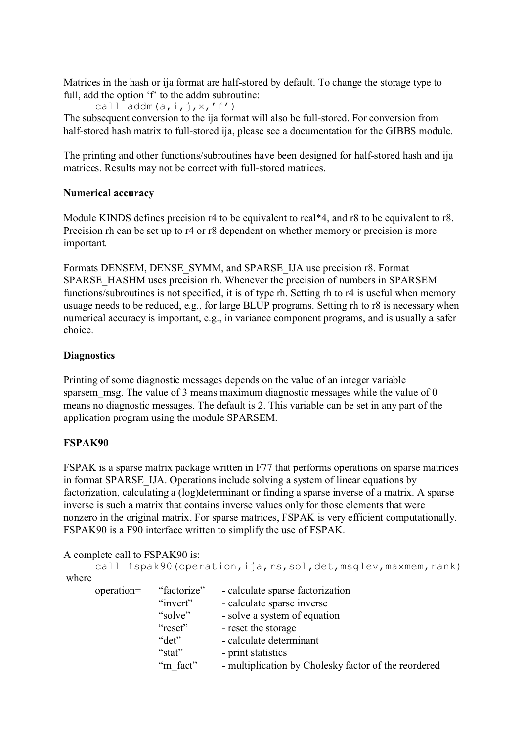Matrices in the hash or ija format are half-stored by default. To change the storage type to full, add the option 'f' to the addm subroutine:

call  $addm(a,i,j,x,'f')$ The subsequent conversion to the ija format will also be full-stored. For conversion from half-stored hash matrix to full-stored ija, please see a documentation for the GIBBS module.

The printing and other functions/subroutines have been designed for half-stored hash and ija matrices. Results may not be correct with full-stored matrices.

# **Numerical accuracy**

Module KINDS defines precision r4 to be equivalent to real<sup>\*4</sup>, and r8 to be equivalent to r8. Precision rh can be set up to r4 or r8 dependent on whether memory or precision is more important.

Formats DENSEM, DENSE\_SYMM, and SPARSE\_IJA use precision r8. Format SPARSE\_HASHM uses precision rh. Whenever the precision of numbers in SPARSEM functions/subroutines is not specified, it is of type rh. Setting rh to r4 is useful when memory usuage needs to be reduced, e.g., for large BLUP programs. Setting rh to r8 is necessary when numerical accuracy is important, e.g., in variance component programs, and is usually a safer choice.

## **Diagnostics**

Printing of some diagnostic messages depends on the value of an integer variable sparsem msg. The value of 3 means maximum diagnostic messages while the value of 0 means no diagnostic messages. The default is 2. This variable can be set in any part of the application program using the module SPARSEM.

# **FSPAK90**

FSPAK is a sparse matrix package written in F77 that performs operations on sparse matrices in format SPARSE\_IJA. Operations include solving a system of linear equations by factorization, calculating a (log)determinant or finding a sparse inverse of a matrix. A sparse inverse is such a matrix that contains inverse values only for those elements that were nonzero in the original matrix. For sparse matrices, FSPAK is very efficient computationally. FSPAK90 is a F90 interface written to simplify the use of FSPAK.

A complete call to FSPAK90 is:

|       | call fspak90 (operation, ija, rs, sol, det, msglev, maxmem, rank) |             |                                                      |
|-------|-------------------------------------------------------------------|-------------|------------------------------------------------------|
| where |                                                                   |             |                                                      |
|       | $operation=$                                                      | "factorize" | - calculate sparse factorization                     |
|       |                                                                   | "invert"    | - calculate sparse inverse                           |
|       |                                                                   | "solve"     | - solve a system of equation                         |
|       |                                                                   | "reset"     | - reset the storage                                  |
|       |                                                                   | "det"       | - calculate determinant                              |
|       |                                                                   | "stat"      | - print statistics                                   |
|       |                                                                   | "m fact"    | - multiplication by Cholesky factor of the reordered |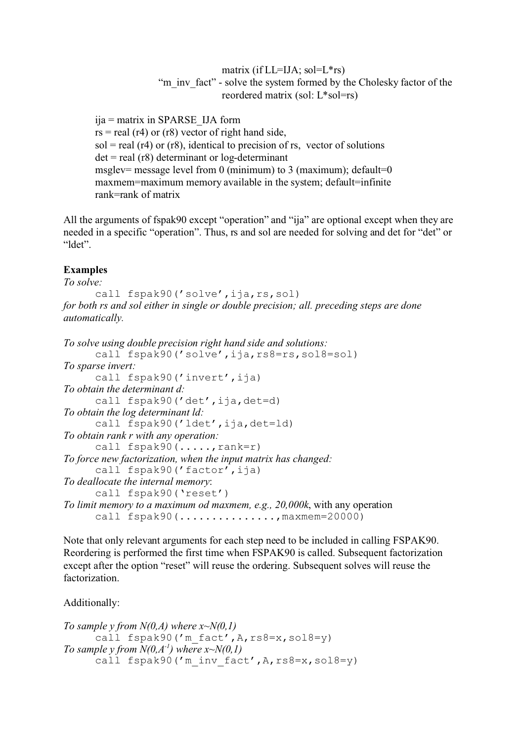matrix (if  $LL=IJA$ ; sol= $L*rs$ ) "m\_inv\_fact" - solve the system formed by the Cholesky factor of the reordered matrix (sol: L\*sol=rs)

ija = matrix in SPARSE\_IJA form  $rs = real (r4)$  or  $(r8)$  vector of right hand side,  $sol = real (r4)$  or  $(r8)$ , identical to precision of rs, vector of solutions  $det = real (r8) determinant or log-determinant$ msglev= message level from 0 (minimum) to 3 (maximum); default=0 maxmem=maximum memory available in the system; default=infinite rank=rank of matrix

All the arguments of fspak90 except "operation" and "ija" are optional except when they are needed in a specific "operation". Thus, rs and sol are needed for solving and det for "det" or "ldet".

## **Examples**

*To solve:*

call fspak90('solve',ija,rs,sol) *for both rs and sol either in single or double precision; all. preceding steps are done automatically.*

```
To solve using double precision right hand side and solutions:
      call fspak90('solve',ija,rs8=rs,sol8=sol)
To sparse invert:
      call fspak90('invert',ija)
To obtain the determinant d:
      call fspak90('det',ija,det=d)
To obtain the log determinant ld:
      call fspak90('ldet',ija,det=ld)
To obtain rank r with any operation:
      call fspak90(.....,rank=r)
To force new factorization, when the input matrix has changed:
      call fspak90('factor',ija)
To deallocate the internal memory:
      call fspak90('reset')
To limit memory to a maximum od maxmem, e.g., 20,000k, with any operation
      call fspak90 (\ldots,\ldots,\ldots,\ldots,\ldots,\ldots) maxmem=20000)
```
Note that only relevant arguments for each step need to be included in calling FSPAK90. Reordering is performed the first time when FSPAK90 is called. Subsequent factorization except after the option "reset" will reuse the ordering. Subsequent solves will reuse the factorization.

Additionally:

```
To sample y from N(0,A) where x~N(0,1)
      call fspak90('m_fact',A,rs8=x,sol8=y)
To sample y from N(0, A<sup>-1</sup>) where x \sim N(0, 1)call fspak90('m inv fact', A, rs8=x, s018=y)
```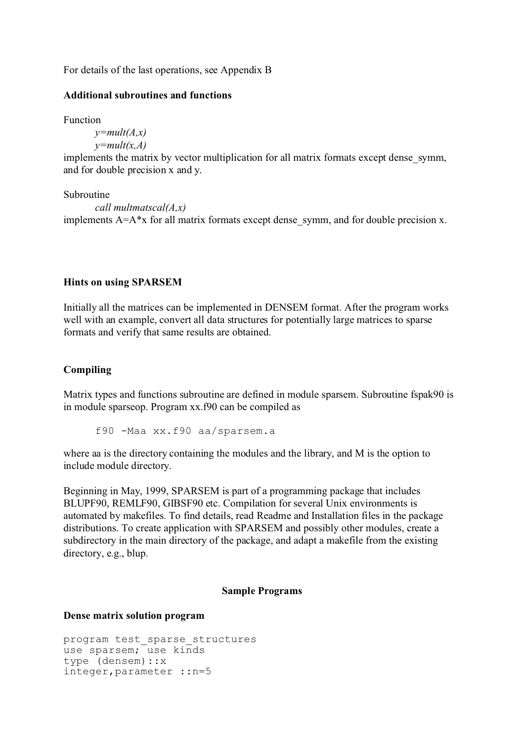For details of the last operations, see Appendix B

## **Additional subroutines and functions**

Function

*y=mult(A,x) y=mult(x,A)*

implements the matrix by vector multiplication for all matrix formats except dense\_symm, and for double precision x and y.

Subroutine *call multmatscal(A,x)* implements  $A = A^*x$  for all matrix formats except dense symm, and for double precision x.

#### **Hints on using SPARSEM**

Initially all the matrices can be implemented in DENSEM format. After the program works well with an example, convert all data structures for potentially large matrices to sparse formats and verify that same results are obtained.

## **Compiling**

Matrix types and functions subroutine are defined in module sparsem. Subroutine fspak90 is in module sparseop. Program xx.f90 can be compiled as

f90 -Maa xx.f90 aa/sparsem.a

where aa is the directory containing the modules and the library, and M is the option to include module directory.

Beginning in May, 1999, SPARSEM is part of a programming package that includes BLUPF90, REMLF90, GIBSF90 etc. Compilation for several Unix environments is automated by makefiles. To find details, read Readme and Installation files in the package distributions. To create application with SPARSEM and possibly other modules, create a subdirectory in the main directory of the package, and adapt a makefile from the existing directory, e.g., blup.

#### **Sample Programs**

#### **Dense matrix solution program**

```
program test_sparse_structures 
use sparsem; use kinds
type (densem)::x
integer,parameter ::n=5
```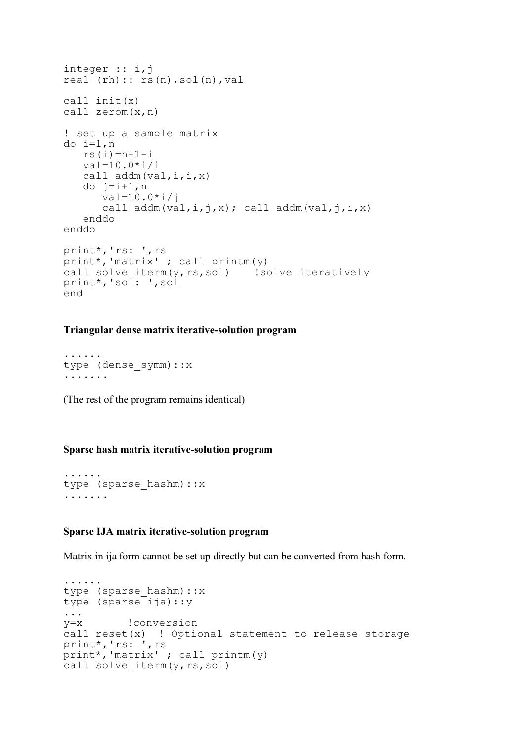```
integer :: i,j
real (rh):: rs(n),sol(n),val
call init(x) 
call zerom(x,n)
! set up a sample matrix
do i=1,n
    rs(i)=n+1-i
   val=10.0* i/icall addm(val, i, i, x) do j=i+1,n
       val=10.0*i/j
      call addm(val,i,j,x); call addm(val,j,i,x)
    enddo
enddo
print*,'rs: ',rs
print*,'matrix' ; call printm(y)
call solve iterm(y, rs, sol) ! solve iteratively
print*,'sol: ',sol
end
```
### **Triangular dense matrix iterative-solution program**

```
......
type (dense_symm)::x
.......
```
(The rest of the program remains identical)

## **Sparse hash matrix iterative-solution program**

```
......
type (sparse_hashm)::x
.......
```
#### **Sparse IJA matrix iterative-solution program**

Matrix in ija form cannot be set up directly but can be converted from hash form.

```
......
type (sparse hashm)::x
type (sparse_ija)::y
...
y=x !conversion
call reset(x) ! Optional statement to release storage
print*,'rs: ',rs
print*,'matrix' ; call printm(y)
call solve iterm(y, rs, sol)
```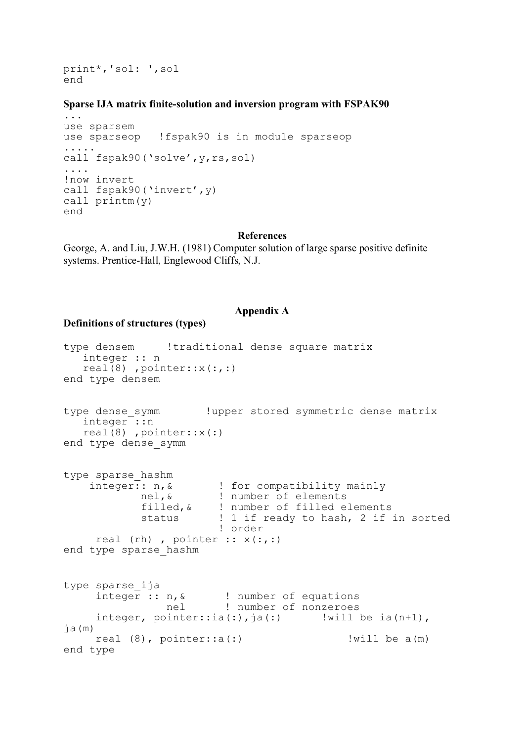print\*,'sol: ',sol end

#### **Sparse IJA matrix finite-solution and inversion program with FSPAK90**

```
...
use sparsem
use sparseop !fspak90 is in module sparseop
.....
call fspak90('solve', y, rs, sol)
....
!now invert
call fspak90('invert',y)
call printm(y)
end
```
#### **References**

George, A. and Liu, J.W.H. (1981) Computer solution of large sparse positive definite systems. Prentice-Hall, Englewood Cliffs, N.J.

#### **Appendix A**

#### **Definitions of structures (types)**

```
type densem !traditional dense square matrix
    integer :: n
    real(8) ,pointer::x(:,:)
end type densem
type dense symm ... !upper stored symmetric dense matrix
  integer::n
   real(8), pointer::x(:)
end type dense_symm
type sparse_hashm
    integer:: n, & : for compatibility mainly
             nel,& ! number of elements
            filled, & ! number of filled elements<br>status : 1 if ready to hash. 2 if
                       ! 1 if ready to hash, 2 if in sorted
                         ! order
     real (rh), pointer :: x(:,:)end type sparse_hashm
type sparse_ija
     integer :: n, &! number of equations
                nel ! number of nonzeroes
     integer, pointer::ia(:),ja(:) | !will be ia(n+1),
ja(m)
    real (8), pointer::a(:) ! !will be a(m)
end type
```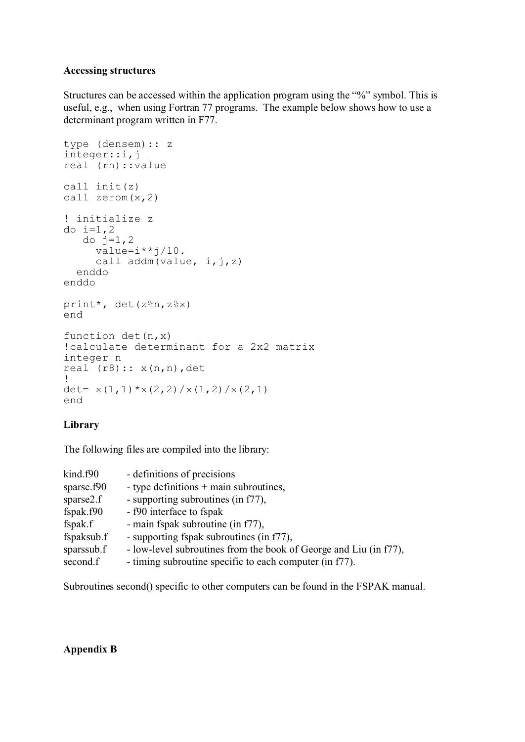## **Accessing structures**

Structures can be accessed within the application program using the "%" symbol. This is useful, e.g., when using Fortran 77 programs. The example below shows how to use a determinant program written in F77.

```
type (densem):: z
integer::i,j
real (rh)::value
call init(z)
call zerom(x,2)
! initialize z
do i=1, 2do j=1, 2value=i**j/10.
     call addm(value, i, j, z) enddo
enddo
print*, det(z%n,z%x)
end
function det(n,x)
!calculate determinant for a 2x2 matrix
integer n
real (r8):: x(n,n), det
!
det= x(1,1) * x(2,2) / x(1,2) / x(2,1)end
```
# **Library**

The following files are compiled into the library:

| kind.f90   | - definitions of precisions                                       |
|------------|-------------------------------------------------------------------|
| sparse.f90 | - type definitions $+$ main subroutines,                          |
| sparse2.f  | - supporting subroutines (in f77),                                |
| fspak.f90  | - f90 interface to fspak                                          |
| fspak.f    | - main fspak subroutine (in f77),                                 |
| fspaksub.f | - supporting fspak subroutines (in f77),                          |
| sparssub.f | - low-level subroutines from the book of George and Liu (in f77), |
| second.f   | - timing subroutine specific to each computer (in f77).           |

Subroutines second() specific to other computers can be found in the FSPAK manual.

# **Appendix B**